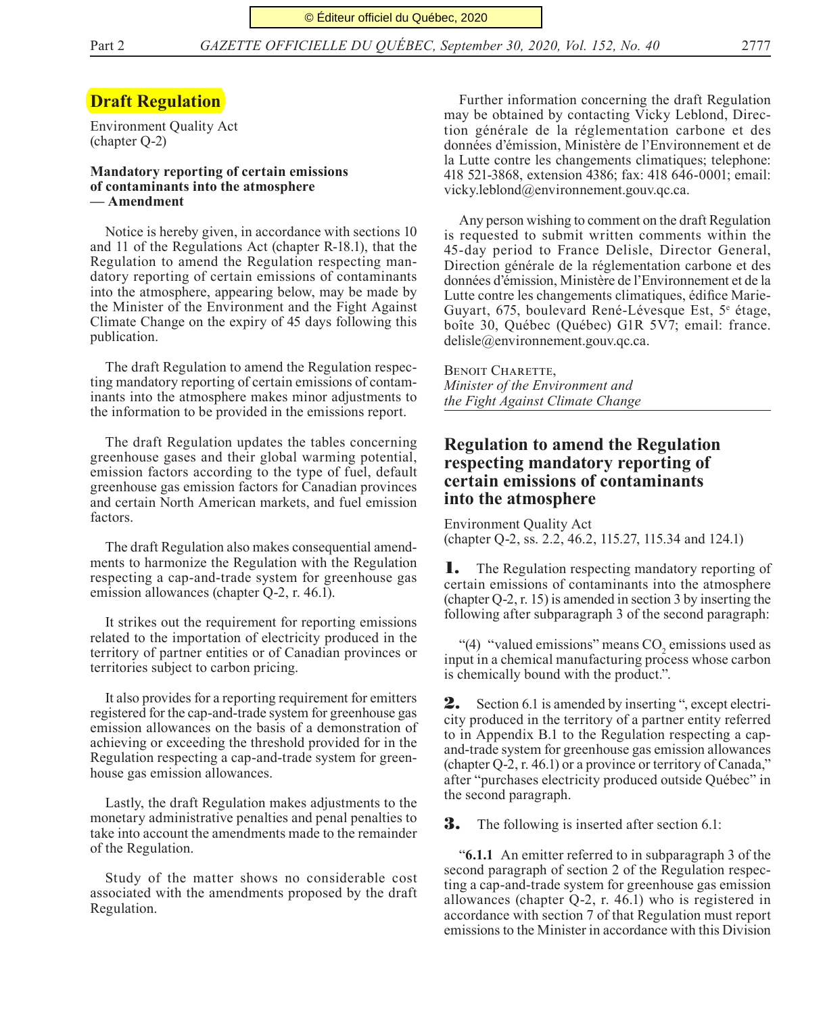# **Draft Regulation**

Environment Quality Act (chapter Q-2)

### **Mandatory reporting of certain emissions of contaminants into the atmosphere — Amendment**

Notice is hereby given, in accordance with sections 10 and 11 of the Regulations Act (chapter R-18.1), that the Regulation to amend the Regulation respecting mandatory reporting of certain emissions of contaminants into the atmosphere, appearing below, may be made by the Minister of the Environment and the Fight Against Climate Change on the expiry of 45 days following this publication.

The draft Regulation to amend the Regulation respecting mandatory reporting of certain emissions of contaminants into the atmosphere makes minor adjustments to the information to be provided in the emissions report.

The draft Regulation updates the tables concerning greenhouse gases and their global warming potential, emission factors according to the type of fuel, default greenhouse gas emission factors for Canadian provinces and certain North American markets, and fuel emission factors.

The draft Regulation also makes consequential amendments to harmonize the Regulation with the Regulation respecting a cap-and-trade system for greenhouse gas emission allowances (chapter Q-2, r. 46.1).

It strikes out the requirement for reporting emissions related to the importation of electricity produced in the territory of partner entities or of Canadian provinces or territories subject to carbon pricing.

It also provides for a reporting requirement for emitters registered for the cap-and-trade system for greenhouse gas emission allowances on the basis of a demonstration of achieving or exceeding the threshold provided for in the Regulation respecting a cap-and-trade system for greenhouse gas emission allowances.

Lastly, the draft Regulation makes adjustments to the monetary administrative penalties and penal penalties to take into account the amendments made to the remainder of the Regulation.

Study of the matter shows no considerable cost associated with the amendments proposed by the draft Regulation.

Further information concerning the draft Regulation may be obtained by contacting Vicky Leblond, Direction générale de la réglementation carbone et des données d'émission, Ministère de l'Environnement et de la Lutte contre les changements climatiques; telephone: 418 521-3868, extension 4386; fax: 418 646-0001; email: vicky.leblond@environnement.gouv.qc.ca.

Any person wishing to comment on the draft Regulation is requested to submit written comments within the 45-day period to France Delisle, Director General, Direction générale de la réglementation carbone et des données d'émission, Ministère de l'Environnement et de la Lutte contre les changements climatiques, édifice Marie-Guyart, 675, boulevard René-Lévesque Est, 5<sup>e</sup> étage, boîte 30, Québec (Québec) G1R 5V7; email: france. delisle@environnement.gouv.qc.ca.

Benoit Charette, *Minister of the Environment and the Fight Against Climate Change*

# **Regulation to amend the Regulation respecting mandatory reporting of certain emissions of contaminants into the atmosphere**

Environment Quality Act (chapter Q-2, ss. 2.2, 46.2, 115.27, 115.34 and 124.1)

1. The Regulation respecting mandatory reporting of certain emissions of contaminants into the atmosphere (chapter Q-2, r. 15) is amended in section 3 by inserting the following after subparagraph 3 of the second paragraph:

"(4) "valued emissions" means  $CO<sub>2</sub>$  emissions used as input in a chemical manufacturing process whose carbon is chemically bound with the product.".

2. Section 6.1 is amended by inserting ", except electricity produced in the territory of a partner entity referred to in Appendix B.1 to the Regulation respecting a capand-trade system for greenhouse gas emission allowances (chapter Q-2, r. 46.1) or a province or territory of Canada," after "purchases electricity produced outside Québec" in the second paragraph.

**3.** The following is inserted after section 6.1:

"**6.1.1** An emitter referred to in subparagraph 3 of the second paragraph of section 2 of the Regulation respecting a cap-and-trade system for greenhouse gas emission allowances (chapter Q-2, r. 46.1) who is registered in accordance with section 7 of that Regulation must report emissions to the Minister in accordance with this Division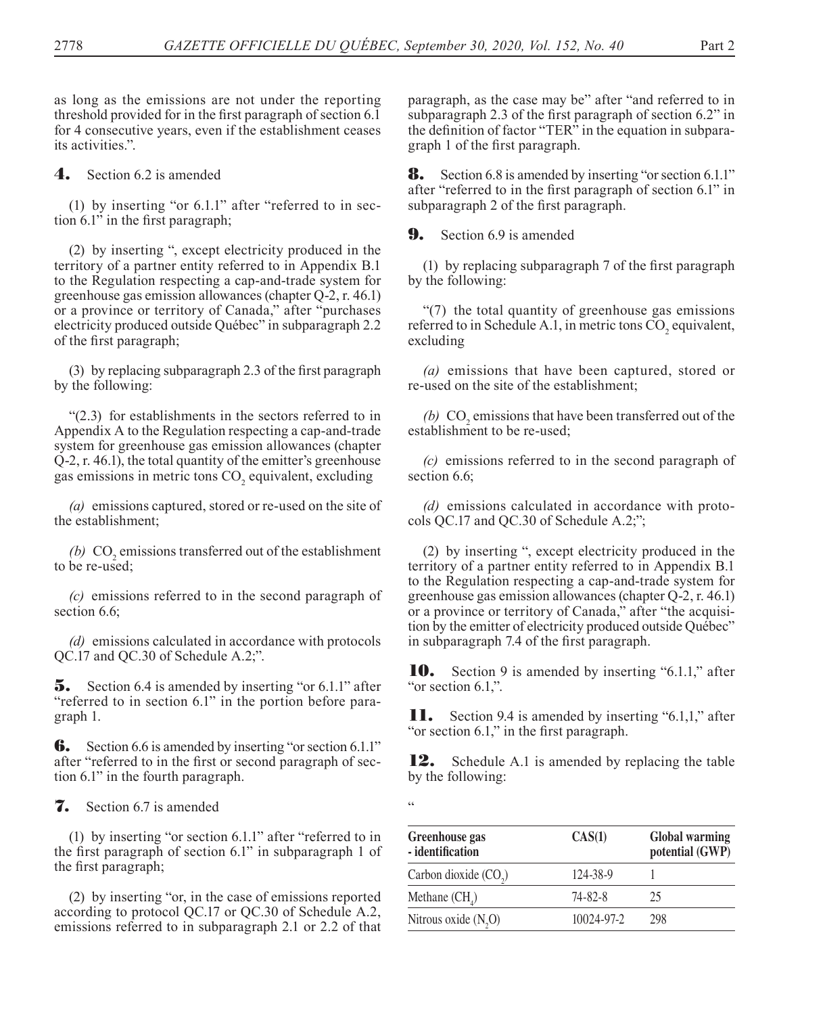as long as the emissions are not under the reporting threshold provided for in the first paragraph of section 6.1 for 4 consecutive years, even if the establishment ceases its activities.".

4. Section 6.2 is amended

(1) by inserting "or 6.1.1" after "referred to in section 6.1" in the first paragraph;

(2) by inserting ", except electricity produced in the territory of a partner entity referred to in Appendix B.1 to the Regulation respecting a cap-and-trade system for greenhouse gas emission allowances (chapter Q-2, r. 46.1) or a province or territory of Canada," after "purchases electricity produced outside Québec" in subparagraph 2.2 of the first paragraph;

(3) by replacing subparagraph 2.3 of the first paragraph by the following:

"(2.3) for establishments in the sectors referred to in Appendix A to the Regulation respecting a cap-and-trade system for greenhouse gas emission allowances (chapter Q-2, r. 46.1), the total quantity of the emitter's greenhouse gas emissions in metric tons  $\mathrm{CO}_2$  equivalent, excluding

*(a)* emissions captured, stored or re-used on the site of the establishment;

 $(b)$  CO<sub>2</sub> emissions transferred out of the establishment to be re-used;

*(c)* emissions referred to in the second paragraph of section 6.6:

*(d)* emissions calculated in accordance with protocols QC.17 and QC.30 of Schedule A.2;".

**5.** Section 6.4 is amended by inserting "or 6.1.1" after "referred to in section 6.1" in the portion before paragraph 1.

**6.** Section 6.6 is amended by inserting "or section 6.1.1" after "referred to in the first or second paragraph of section 6.1" in the fourth paragraph.

### **7.** Section 6.7 is amended

(1) by inserting "or section 6.1.1" after "referred to in the first paragraph of section 6.1" in subparagraph 1 of the first paragraph;

(2) by inserting "or, in the case of emissions reported according to protocol QC.17 or QC.30 of Schedule A.2, emissions referred to in subparagraph 2.1 or 2.2 of that

paragraph, as the case may be" after "and referred to in subparagraph 2.3 of the first paragraph of section 6.2" in the definition of factor "TER" in the equation in subparagraph 1 of the first paragraph.

**8.** Section 6.8 is amended by inserting "or section 6.1.1" after "referred to in the first paragraph of section 6.1" in subparagraph 2 of the first paragraph.

**9.** Section 6.9 is amended

(1) by replacing subparagraph 7 of the first paragraph by the following:

"(7) the total quantity of greenhouse gas emissions referred to in Schedule A.1, in metric tons  $CO<sub>2</sub>$  equivalent, excluding

*(a)* emissions that have been captured, stored or re-used on the site of the establishment;

 $(b)$  CO<sub>2</sub> emissions that have been transferred out of the establishment to be re-used;

*(c)* emissions referred to in the second paragraph of section 6.6;

*(d)* emissions calculated in accordance with protocols QC.17 and QC.30 of Schedule A.2;";

(2) by inserting ", except electricity produced in the territory of a partner entity referred to in Appendix B.1 to the Regulation respecting a cap-and-trade system for greenhouse gas emission allowances (chapter Q-2, r. 46.1) or a province or territory of Canada," after "the acquisition by the emitter of electricity produced outside Québec" in subparagraph 7.4 of the first paragraph.

**10.** Section 9 is amended by inserting "6.1.1," after "or section 6.1,".

**11.** Section 9.4 is amended by inserting "6.1,1," after "or section 6.1," in the first paragraph.

**12.** Schedule A.1 is amended by replacing the table by the following:

 $\epsilon$ 

| Greenhouse gas<br>- identification | CAS(1)        | Global warming<br>potential (GWP) |
|------------------------------------|---------------|-----------------------------------|
| Carbon dioxide (CO <sub>2</sub> )  | 124-38-9      |                                   |
| Methane $(CH_A)$                   | $74 - 82 - 8$ | 25                                |
| Nitrous oxide $(N,0)$              | 10024-97-2    | 298                               |
|                                    |               |                                   |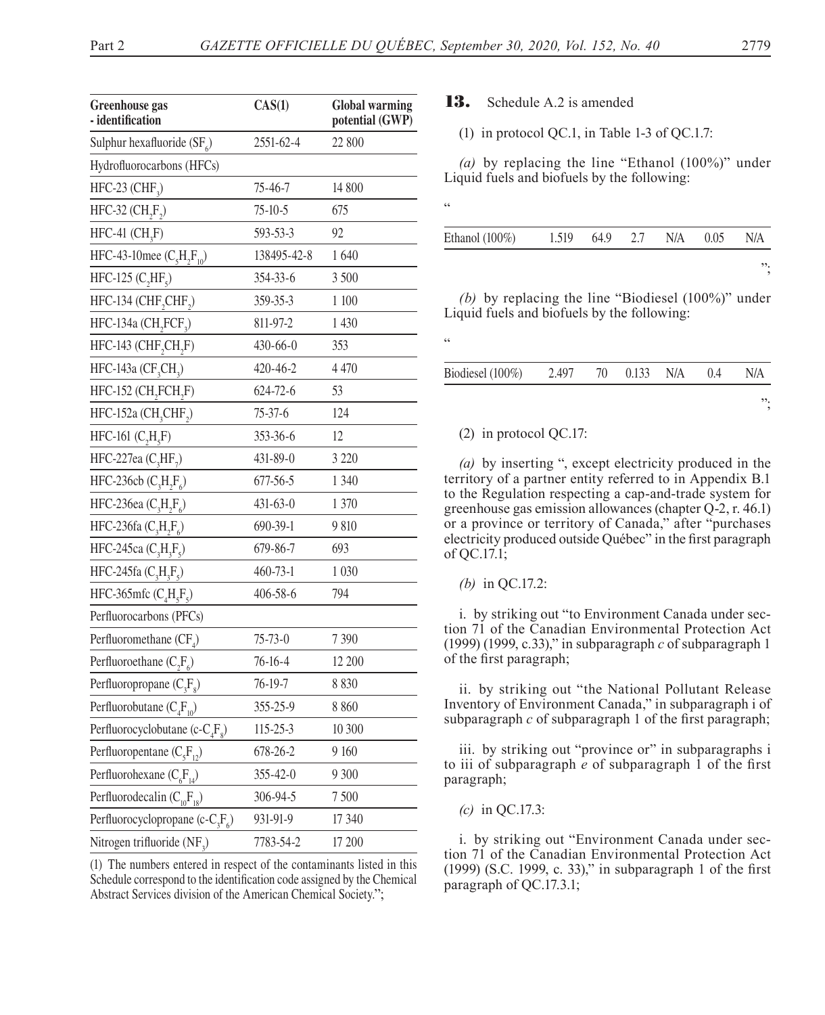<u>،</u>

<u>،</u>

| <b>Greenhouse</b> gas<br>- identification    | CAS(1)         | <b>Global warming</b><br>potential (GWP) |  |  |
|----------------------------------------------|----------------|------------------------------------------|--|--|
| Sulphur hexafluoride $(SF_{\epsilon})$       | 2551-62-4      | 22 800                                   |  |  |
| Hydrofluorocarbons (HFCs)                    |                |                                          |  |  |
| HFC-23 (CHF <sub>3</sub> )                   | 75-46-7        | 14 800                                   |  |  |
| HFC-32 $(CH, F)$                             | $75 - 10 - 5$  | 675                                      |  |  |
| $HFC-41$ $(CH,F)$                            | 593-53-3       | 92                                       |  |  |
| HFC-43-10mee $(C_5H_2F_{10})$                | 138495-42-8    | 1640                                     |  |  |
| HFC-125 $(C, HF, )$                          | 354-33-6       | 3 500                                    |  |  |
| HFC-134 (CHF, CHF,)                          | 359-35-3       | 1 100                                    |  |  |
| HFC-134a (CH <sub>2</sub> FCF <sub>3</sub> ) | 811-97-2       | 1 430                                    |  |  |
| HFC-143 (CHF, CH, F)                         | $430 - 66 - 0$ | 353                                      |  |  |
| HFC-143a (CF <sub>3</sub> CH <sub>3</sub> )  | 420-46-2       | 4 4 7 0                                  |  |  |
| HFC-152 (CH <sub>2</sub> FCH <sub>2</sub> F) | 624-72-6       | 53                                       |  |  |
| HFC-152a (CH <sub>3</sub> CHF <sub>2</sub> ) | $75 - 37 - 6$  | 124                                      |  |  |
| HFC-161 $(C, H, F)$                          | 353-36-6       | 12                                       |  |  |
| HFC-227ea $(C_3HF_7)$                        | 431-89-0       | 3 2 2 0                                  |  |  |
| HFC-236cb $(C_3H_2F_6)$                      | 677-56-5       | 1 340                                    |  |  |
| HFC-236ea $(C_3H_2F_6)$                      | $431 - 63 - 0$ | 1 370                                    |  |  |
| HFC-236fa $(C_3H_2F_6)$                      | 690-39-1       | 9 810                                    |  |  |
| HFC-245ca $(C_3H_3F_5)$                      | 679-86-7       | 693                                      |  |  |
| HFC-245fa $(C_3H_3F_5)$                      | 460-73-1       | 1 0 3 0                                  |  |  |
| HFC-365mfc $(C_4H_5F_5)$                     | 406-58-6       | 794                                      |  |  |
| Perfluorocarbons (PFCs)                      |                |                                          |  |  |
| Perfluoromethane $(CF_A)$                    | $75 - 73 - 0$  | 7 3 9 0                                  |  |  |
| Perfluoroethane $(C, F)$                     | $76 - 16 - 4$  | 12 200                                   |  |  |
| Perfluoropropane $(C_3F_8)$                  | 76-19-7        | 8 8 3 0                                  |  |  |
| Perfluorobutane $(C_4F_{10})$                | 355-25-9       | 8 8 6 0                                  |  |  |
| Perfluorocyclobutane (c- $C_4F_8$ )          | 115-25-3       | 10 300                                   |  |  |
| Perfluoropentane $(C_5F_{12})$               | 678-26-2       | 9 160                                    |  |  |
| Perfluorohexane $(C_6F_{14})$                | 355-42-0       | 9 300                                    |  |  |
| Perfluorodecalin $(C_{10}F_{18})$            | 306-94-5       | 7 500                                    |  |  |
| Perfluorocyclopropane (c- $C_3F_6$ )         | 931-91-9       | 17 340                                   |  |  |
| Nitrogen trifluoride (NF <sub>2</sub> )      | 7783-54-2      | 17 200                                   |  |  |

(1) The numbers entered in respect of the contaminants listed in this Schedule correspond to the identification code assigned by the Chemical Abstract Services division of the American Chemical Society.";

## **13.** Schedule A.2 is amended

(1) in protocol QC.1, in Table 1-3 of QC.1.7:

*(a)* by replacing the line "Ethanol (100%)" under Liquid fuels and biofuels by the following:

| Ethanol $(100\%)$ | 1.519 | 64.9 2.7 | N/A | 0.05 | N/A |
|-------------------|-------|----------|-----|------|-----|
|                   |       |          |     |      | ".  |

*(b)* by replacing the line "Biodiesel (100%)" under Liquid fuels and biofuels by the following:

| Biodiesel (100%) | 2.497 | 70 | $0.133$ N/A | 0.4 | N/A |
|------------------|-------|----|-------------|-----|-----|
|                  |       |    |             |     | ".  |

### (2) in protocol QC.17:

*(a)* by inserting ", except electricity produced in the territory of a partner entity referred to in Appendix B.1 to the Regulation respecting a cap-and-trade system for greenhouse gas emission allowances (chapter Q-2, r. 46.1) or a province or territory of Canada," after "purchases electricity produced outside Québec" in the first paragraph of QC.17.1;

#### *(b)* in QC.17.2:

i. by striking out "to Environment Canada under section 71 of the Canadian Environmental Protection Act (1999) (1999, c.33)," in subparagraph *c* of subparagraph 1 of the first paragraph;

ii. by striking out "the National Pollutant Release Inventory of Environment Canada," in subparagraph i of subparagraph *c* of subparagraph 1 of the first paragraph;

iii. by striking out "province or" in subparagraphs i to iii of subparagraph *e* of subparagraph 1 of the first paragraph;

*(c)* in QC.17.3:

i. by striking out "Environment Canada under section 71 of the Canadian Environmental Protection Act (1999) (S.C. 1999, c. 33)," in subparagraph 1 of the first paragraph of QC.17.3.1;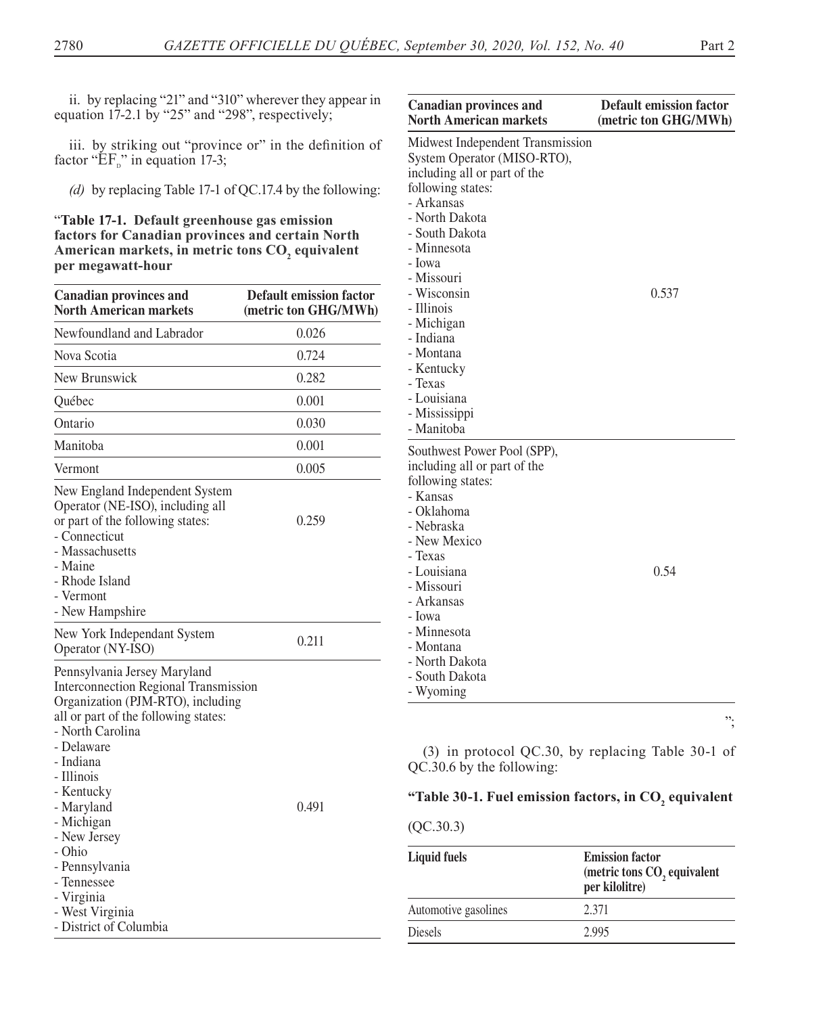ii. by replacing "21" and "310" wherever they appear in equation 17-2.1 by "25" and "298", respectively;

iii. by striking out "province or" in the definition of factor " $E_{\text{D}}$ " in equation 17-3;

*(d)* by replacing Table 17-1 of QC.17.4 by the following:

"**Table 17-1. Default greenhouse gas emission factors for Canadian provinces and certain North**  American markets, in metric tons CO<sub>2</sub> equivalent **per megawatt-hour**

| <b>Canadian provinces and</b><br><b>North American markets</b>                                                                                                                                                                                                                                                                                                                         | <b>Default emission factor</b><br>(metric ton GHG/MWh) |
|----------------------------------------------------------------------------------------------------------------------------------------------------------------------------------------------------------------------------------------------------------------------------------------------------------------------------------------------------------------------------------------|--------------------------------------------------------|
| Newfoundland and Labrador                                                                                                                                                                                                                                                                                                                                                              | 0.026                                                  |
| Nova Scotia                                                                                                                                                                                                                                                                                                                                                                            | 0.724                                                  |
| New Brunswick                                                                                                                                                                                                                                                                                                                                                                          | 0.282                                                  |
| Québec                                                                                                                                                                                                                                                                                                                                                                                 | 0.001                                                  |
| Ontario                                                                                                                                                                                                                                                                                                                                                                                | 0.030                                                  |
| Manitoba                                                                                                                                                                                                                                                                                                                                                                               | 0.001                                                  |
| Vermont                                                                                                                                                                                                                                                                                                                                                                                | 0.005                                                  |
| New England Independent System<br>Operator (NE-ISO), including all<br>or part of the following states:<br>- Connecticut<br>- Massachusetts<br>- Maine<br>- Rhode Island<br>- Vermont<br>- New Hampshire                                                                                                                                                                                | 0.259                                                  |
| New York Independant System<br>Operator (NY-ISO)                                                                                                                                                                                                                                                                                                                                       | 0.211                                                  |
| Pennsylvania Jersey Maryland<br><b>Interconnection Regional Transmission</b><br>Organization (PJM-RTO), including<br>all or part of the following states:<br>- North Carolina<br>- Delaware<br>- Indiana<br>- Illinois<br>- Kentucky<br>- Maryland<br>- Michigan<br>- New Jersey<br>- Ohio<br>- Pennsylvania<br>- Tennessee<br>- Virginia<br>- West Virginia<br>- District of Columbia | 0.491                                                  |

| <b>Canadian provinces and</b><br><b>North American markets</b>                                                                                                                                                                                                                        | <b>Default emission factor</b><br>(metric ton GHG/MWh) |
|---------------------------------------------------------------------------------------------------------------------------------------------------------------------------------------------------------------------------------------------------------------------------------------|--------------------------------------------------------|
| Midwest Independent Transmission<br>System Operator (MISO-RTO),<br>including all or part of the<br>following states:<br>- Arkansas<br>- North Dakota<br>- South Dakota<br>- Minnesota<br>- Iowa<br>- Missouri<br>- Wisconsin<br>- Illinois<br>- Michigan<br>- Indiana<br>- Montana    | 0.537                                                  |
| - Kentucky<br>- Texas<br>- Louisiana<br>- Mississippi<br>- Manitoba                                                                                                                                                                                                                   |                                                        |
| Southwest Power Pool (SPP),<br>including all or part of the<br>following states:<br>- Kansas<br>- Oklahoma<br>- Nebraska<br>- New Mexico<br>- Texas<br>- Louisiana<br>- Missouri<br>- Arkansas<br>- Iowa<br>- Minnesota<br>- Montana<br>- North Dakota<br>- South Dakota<br>- Wyoming | 0.54                                                   |

";

(3) in protocol QC.30, by replacing Table 30-1 of QC.30.6 by the following:

# "Table 30-1. Fuel emission factors, in CO<sub>2</sub> equivalent

### (QC.30.3)

| <b>Liquid fuels</b>  | <b>Emission factor</b><br>(metric tons CO, equivalent<br>per kilolitre) |  |
|----------------------|-------------------------------------------------------------------------|--|
| Automotive gasolines | 2.371                                                                   |  |
| <b>Diesels</b>       | 2.995                                                                   |  |